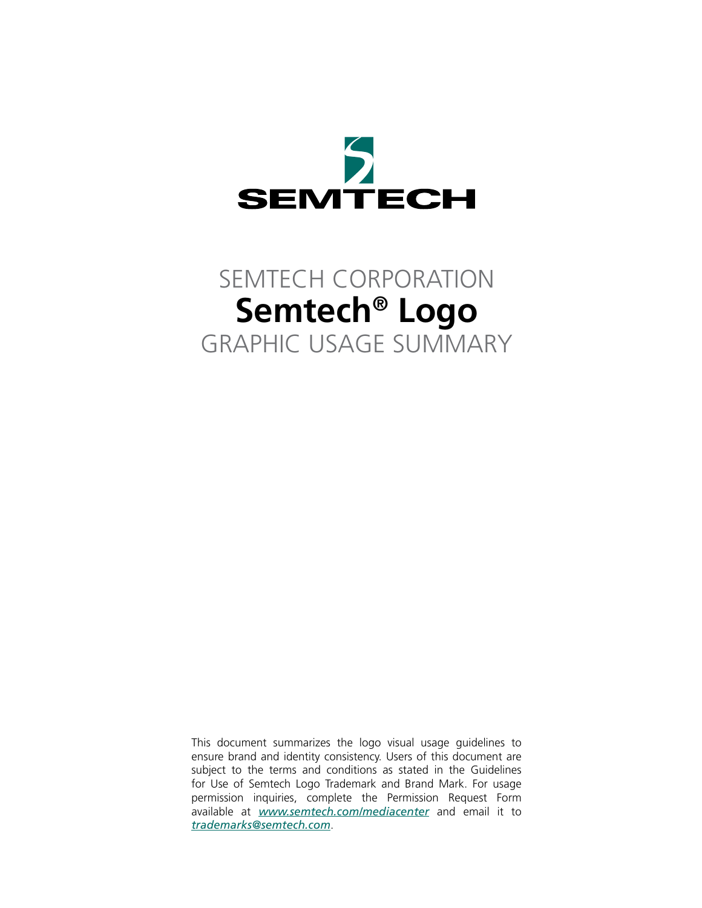

# SEMTECH CORPORATION **Semtech® Logo** GRAPHIC USAGE SUMMARY

This document summarizes the logo visual usage guidelines to ensure brand and identity consistency. Users of this document are subject to the terms and conditions as stated in the Guidelines for Use of Semtech Logo Trademark and Brand Mark. For usage permission inquiries, complete the Permission Request Form available at *www.semtech.com/mediacenter* and email it to *trademarks@semtech.com*.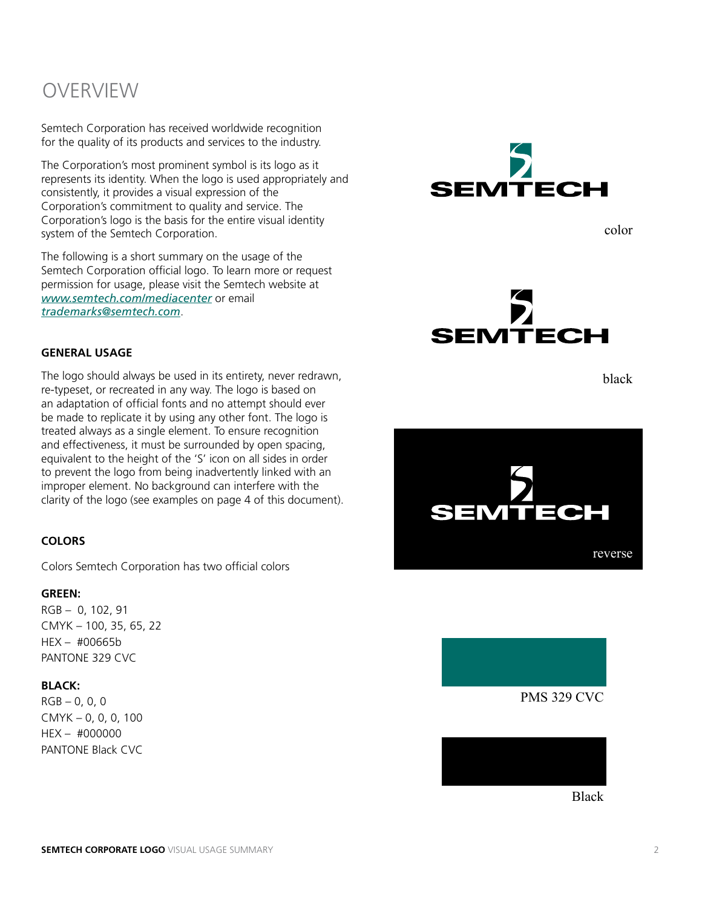### **OVERVIEW**

Semtech Corporation has received worldwide recognition for the quality of its products and services to the industry.

The Corporation's most prominent symbol is its logo as it represents its identity. When the logo is used appropriately and consistently, it provides a visual expression of the Corporation's commitment to quality and service. The Corporation's logo is the basis for the entire visual identity system of the Semtech Corporation.

The following is a short summary on the usage of the Semtech Corporation official logo. To learn more or request permission for usage, please visit the Semtech website at *www.semtech.com/mediacenter* or email *trademarks@semtech.com*.

#### **GENERAL USAGE**

The logo should always be used in its entirety, never redrawn, re-typeset, or recreated in any way. The logo is based on an adaptation of official fonts and no attempt should ever be made to replicate it by using any other font. The logo is treated always as a single element. To ensure recognition and effectiveness, it must be surrounded by open spacing, equivalent to the height of the 'S' icon on all sides in order to prevent the logo from being inadvertently linked with an improper element. No background can interfere with the clarity of the logo (see examples on page 4 of this document).

#### **COLORS**

Colors Semtech Corporation has two official colors

#### **GREEN:**

RGB – 0, 102, 91 CMYK – 100, 35, 65, 22 HEX – #00665b PANTONE 329 CVC

#### **BLACK:**

 $RGB - 0, 0, 0$ CMYK – 0, 0, 0, 100 HEX – #000000 PANTONE Black CVC



color



black







Black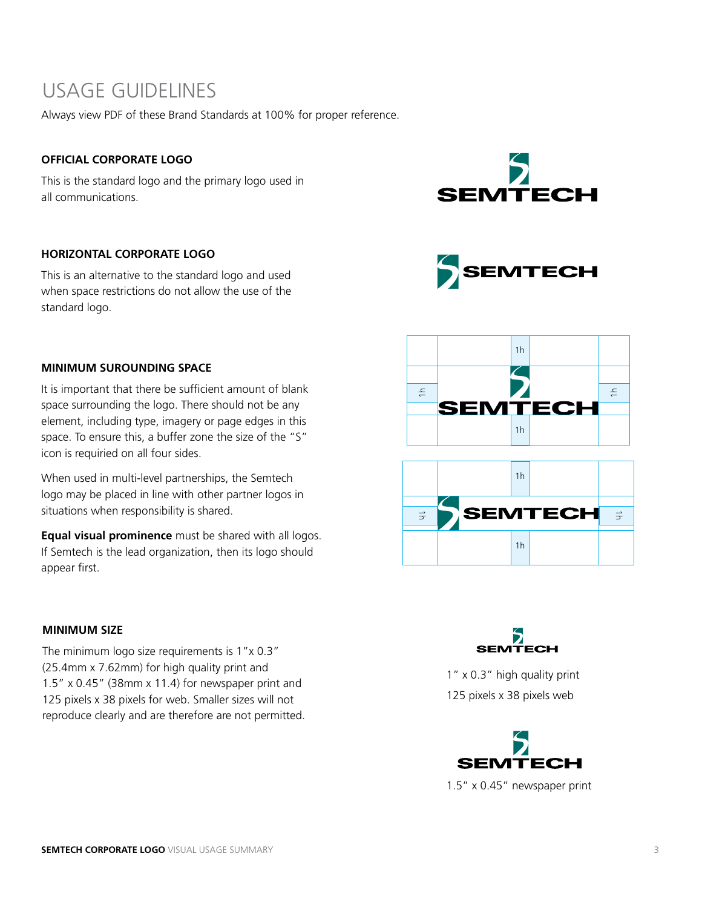### USAGE GUIDELINES

Always view PDF of these Brand Standards at 100% for proper reference.

#### **OFFICIAL CORPORATE LOGO**

This is the standard logo and the primary logo used in all communications.



SEMTECH

#### **HORIZONTAL CORPORATE LOGO**

This is an alternative to the standard logo and used when space restrictions do not allow the use of the standard logo.

#### **MINIMUM SUROUNDING SPACE**

It is important that there be sufficient amount of blank space surrounding the logo. There should not be any element, including type, imagery or page edges in this space. To ensure this, a buffer zone the size of the "S" icon is requiried on all four sides.

When used in multi-level partnerships, the Semtech logo may be placed in line with other partner logos in situations when responsibility is shared.

**Equal visual prominence** must be shared with all logos. If Semtech is the lead organization, then its logo should appear first.

#### **MINIMUM SIZE**

The minimum logo size requirements is 1"x 0.3" (25.4mm x 7.62mm) for high quality print and 1.5" x 0.45" (38mm x 11.4) for newspaper print and 125 pixels x 38 pixels for web. Smaller sizes will not reproduce clearly and are therefore are not permitted.







1" x 0.3" high quality print 125 pixels x 38 pixels web



1.5" x 0.45" newspaper print